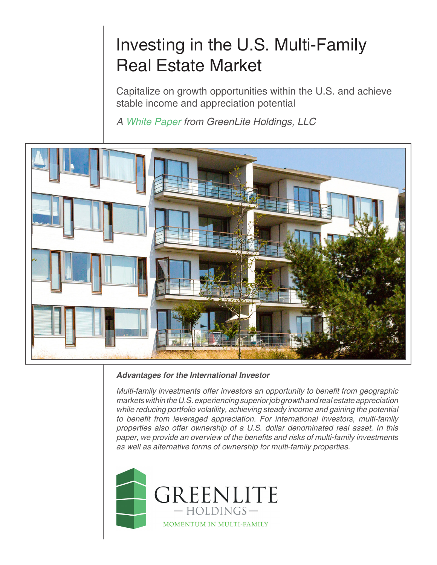# Investing in the U.S. Multi-Family Real Estate Market

Capitalize on growth opportunities within the U.S. and achieve stable income and appreciation potential

*A White Paper from GreenLite Holdings, LLC*



# *Advantages for the International Investor*

Multi-family investments offer investors an opportunity to benefit from geographic markets within the U.S. experiencing superior job growth and real estate appreciation while reducing portfolio volatility, achieving steady income and gaining the potential to benefit from leveraged appreciation. For international investors, multi-family *properties also offer ownership of a U.S. dollar denominated real asset. In this*  paper, we provide an overview of the benefits and risks of multi-family investments *as well as alternative forms of ownership for multi-family properties.*



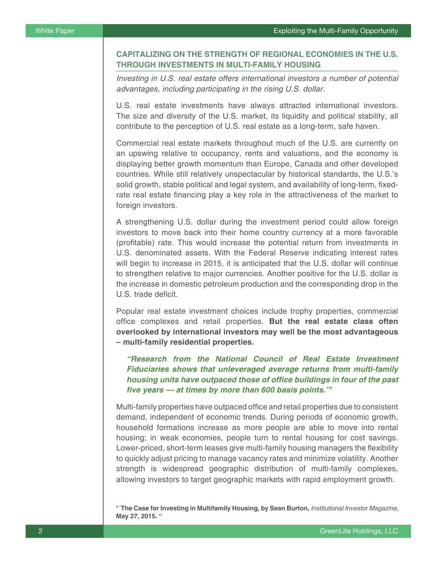# **CAPITALIZING ON THE STRENGTH OF REGIONAL ECONOMIES IN THE U.S. THROUGH INVESTMENTS IN MULTI-FAMILY HOUSING**

*Investing in U.S. real estate offers international investors a number of potential*  advantages, including participating in the rising U.S. dollar.

U.S. real estate investments have always attracted international investors. The size and diversity of the U.S. market, its liquidity and political stability, all contribute to the perception of U.S. real estate as a long-term, safe haven.

Commercial real estate markets throughout much of the U.S. are currently on an upswing relative to occupancy, rents and valuations, and the economy is displaying better growth momentum than Europe, Canada and other developed countries. While still relatively unspectacular by historical standards, the U.S.'s solid growth, stable political and legal system, and availability of long-term, fixedrate real estate financing play a key role in the attractiveness of the market to foreign investors.

A strengthening U.S. dollar during the investment period could allow foreign investors to move back into their home country currency at a more favorable (profitable) rate. This would increase the potential return from investments in U.S. denominated assets. With the Federal Reserve indicating interest rates will begin to increase in 2015, it is anticipated that the U.S. dollar will continue to strengthen relative to major currencies. Another positive for the U.S. dollar is the increase in domestic petroleum production and the corresponding drop in the U.S. trade deficit.

Popular real estate investment choices include trophy properties, commercial office complexes and retail properties. **But the real estate class often overlooked by international investors may well be the most advantageous – multi-family residential properties.** 

*"Research from the National Council of Real Estate Investment Fiduciaries shows that unleveraged average returns from multi-family*  **housing units have outpaced those of office buildings in four of the past five years — at times by more than 600 basis points."***<sup>1</sup>*

Multi-family properties have outpaced office and retail properties due to consistent demand, independent of economic trends. During periods of economic growth, household formations increase as more people are able to move into rental housing; in weak economies, people turn to rental housing for cost savings. Lower-priced, short-term leases give multi-family housing managers the flexibility to quickly adjust pricing to manage vacancy rates and minimize volatility. Another strength is widespread geographic distribution of multi-family complexes, allowing investors to target geographic markets with rapid employment growth.

**1 "The Case for Investing in Multifamily Housing, by Sean Burton,** *Institutional Investor Magazine,*  **May 27, 2015. "**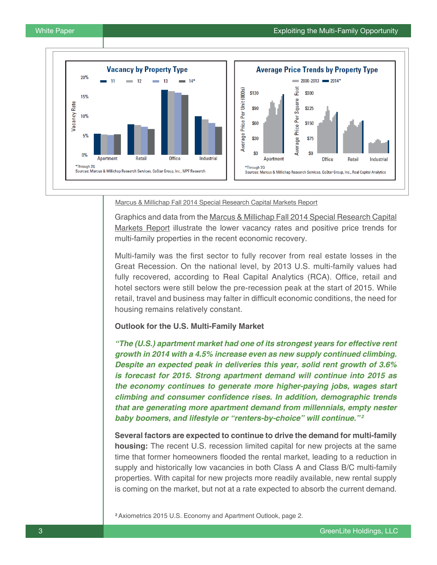

#### Marcus & Millichap Fall 2014 Special Research Capital Markets Report

Graphics and data from the Marcus & Millichap Fall 2014 Special Research Capital Markets Report illustrate the lower vacancy rates and positive price trends for multi-family properties in the recent economic recovery.

Multi-family was the first sector to fully recover from real estate losses in the Great Recession. On the national level, by 2013 U.S. multi-family values had fully recovered, according to Real Capital Analytics (RCA). Office, retail and hotel sectors were still below the pre-recession peak at the start of 2015. While retail, travel and business may falter in difficult economic conditions, the need for housing remains relatively constant.

#### **Outlook for the U.S. Multi-Family Market**

**"The (U.S.) apartment market had one of its strongest years for effective rent growth in 2014 with a 4.5% increase even as new supply continued climbing. Despite an expected peak in deliveries this year, solid rent growth of 3.6% is forecast for 2015. Strong apartment demand will continue into 2015 as the economy continues to generate more higher-paying jobs, wages start climbing and consumer confidence rises. In addition, demographic trends that are generating more apartment demand from millennials, empty nester baby boomers, and lifestyle or "renters-by-choice" will continue."***<sup>2</sup>*

**Several factors are expected to continue to drive the demand for multi-family housing:** The recent U.S. recession limited capital for new projects at the same time that former homeowners flooded the rental market, leading to a reduction in supply and historically low vacancies in both Class A and Class B/C multi-family properties. With capital for new projects more readily available, new rental supply is coming on the market, but not at a rate expected to absorb the current demand.

**<sup>2</sup>**Axiometrics 2015 U.S. Economy and Apartment Outlook, page 2.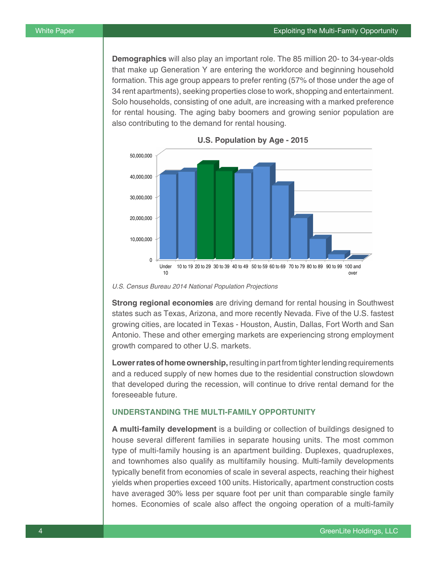**Demographics** will also play an important role. The 85 million 20- to 34-year-olds that make up Generation Y are entering the workforce and beginning household formation. This age group appears to prefer renting (57% of those under the age of 34 rent apartments), seeking properties close to work, shopping and entertainment. Solo households, consisting of one adult, are increasing with a marked preference for rental housing. The aging baby boomers and growing senior population are also contributing to the demand for rental housing.



U.S. Census Bureau 2014 National Population Projections

**Strong regional economies** are driving demand for rental housing in Southwest states such as Texas, Arizona, and more recently Nevada. Five of the U.S. fastest growing cities, are located in Texas - Houston, Austin, Dallas, Fort Worth and San Antonio. These and other emerging markets are experiencing strong employment growth compared to other U.S. markets.

**Lower rates of home ownership,** resulting in part from tighter lending requirements and a reduced supply of new homes due to the residential construction slowdown that developed during the recession, will continue to drive rental demand for the foreseeable future.

# **UNDERSTANDING THE MULTI-FAMILY OPPORTUNITY**

**A multi-family development** is a building or collection of buildings designed to house several different families in separate housing units. The most common type of multi-family housing is an apartment building. Duplexes, quadruplexes, and townhomes also qualify as multifamily housing. Multi-family developments typically benefit from economies of scale in several aspects, reaching their highest yields when properties exceed 100 units. Historically, apartment construction costs have averaged 30% less per square foot per unit than comparable single family homes. Economies of scale also affect the ongoing operation of a multi-family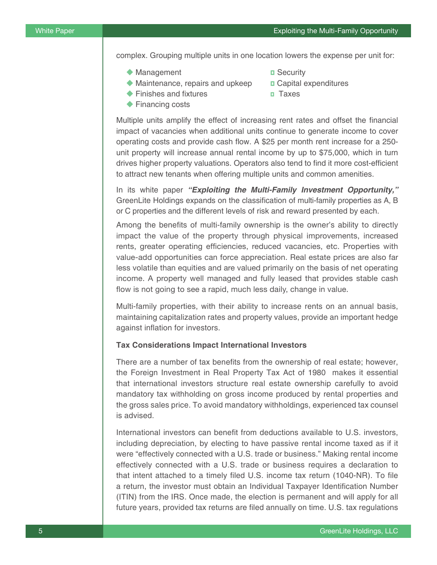complex. Grouping multiple units in one location lowers the expense per unit for:

- ◆ Management **Decurity**
- 
- $\blacklozenge$  Maintenance, repairs and upkeep  $\Box$  Capital expenditures
- ◆ Finishes and fixtures **Taxes**
- $\blacktriangleright$  Financing costs
- 
- 

Multiple units amplify the effect of increasing rent rates and offset the financial impact of vacancies when additional units continue to generate income to cover operating costs and provide cash flow. A \$25 per month rent increase for a 250 unit property will increase annual rental income by up to \$75,000, which in turn drives higher property valuations. Operators also tend to find it more cost-efficient to attract new tenants when offering multiple units and common amenities.

In its white paper **"Exploiting the Multi-Family Investment Opportunity,"** GreenLite Holdings expands on the classification of multi-family properties as A, B or C properties and the different levels of risk and reward presented by each.

Among the benefits of multi-family ownership is the owner's ability to directly impact the value of the property through physical improvements, increased rents, greater operating efficiencies, reduced vacancies, etc. Properties with value-add opportunities can force appreciation. Real estate prices are also far less volatile than equities and are valued primarily on the basis of net operating income. A property well managed and fully leased that provides stable cash flow is not going to see a rapid, much less daily, change in value.

Multi-family properties, with their ability to increase rents on an annual basis, maintaining capitalization rates and property values, provide an important hedge against inflation for investors.

## **Tax Considerations Impact International Investors**

There are a number of tax benefits from the ownership of real estate; however, the Foreign Investment in Real Property Tax Act of 1980 makes it essential that international investors structure real estate ownership carefully to avoid mandatory tax withholding on gross income produced by rental properties and the gross sales price. To avoid mandatory withholdings, experienced tax counsel is advised.

International investors can benefit from deductions available to U.S. investors, including depreciation, by electing to have passive rental income taxed as if it were "effectively connected with a U.S. trade or business." Making rental income effectively connected with a U.S. trade or business requires a declaration to that intent attached to a timely filed U.S. income tax return (1040-NR). To file a return, the investor must obtain an Individual Taxpayer Identification Number (ITIN) from the IRS. Once made, the election is permanent and will apply for all future years, provided tax returns are filed annually on time. U.S. tax regulations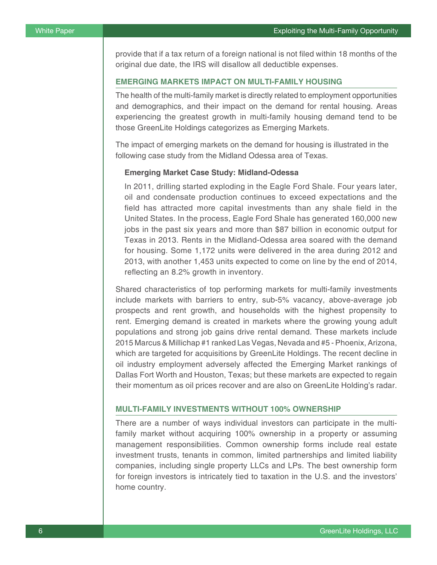provide that if a tax return of a foreign national is not filed within 18 months of the original due date, the IRS will disallow all deductible expenses.

## **EMERGING MARKETS IMPACT ON MULTI-FAMILY HOUSING**

The health of the multi-family market is directly related to employment opportunities and demographics, and their impact on the demand for rental housing. Areas experiencing the greatest growth in multi-family housing demand tend to be those GreenLite Holdings categorizes as Emerging Markets.

The impact of emerging markets on the demand for housing is illustrated in the following case study from the Midland Odessa area of Texas.

#### **Emerging Market Case Study: Midland-Odessa**

In 2011, drilling started exploding in the Eagle Ford Shale. Four years later, oil and condensate production continues to exceed expectations and the field has attracted more capital investments than any shale field in the United States. In the process, Eagle Ford Shale has generated 160,000 new jobs in the past six years and more than \$87 billion in economic output for Texas in 2013. Rents in the Midland-Odessa area soared with the demand for housing. Some 1,172 units were delivered in the area during 2012 and 2013, with another 1,453 units expected to come on line by the end of 2014, reflecting an 8.2% growth in inventory.

Shared characteristics of top performing markets for multi-family investments include markets with barriers to entry, sub-5% vacancy, above-average job prospects and rent growth, and households with the highest propensity to rent. Emerging demand is created in markets where the growing young adult populations and strong job gains drive rental demand. These markets include 2015 Marcus & Millichap #1 ranked Las Vegas, Nevada and #5 - Phoenix, Arizona, which are targeted for acquisitions by GreenLite Holdings. The recent decline in oil industry employment adversely affected the Emerging Market rankings of Dallas Fort Worth and Houston, Texas; but these markets are expected to regain their momentum as oil prices recover and are also on GreenLite Holding's radar.

# **MULTI-FAMILY INVESTMENTS WITHOUT 100% OWNERSHIP**

There are a number of ways individual investors can participate in the multifamily market without acquiring 100% ownership in a property or assuming management responsibilities. Common ownership forms include real estate investment trusts, tenants in common, limited partnerships and limited liability companies, including single property LLCs and LPs. The best ownership form for foreign investors is intricately tied to taxation in the U.S. and the investors' home country.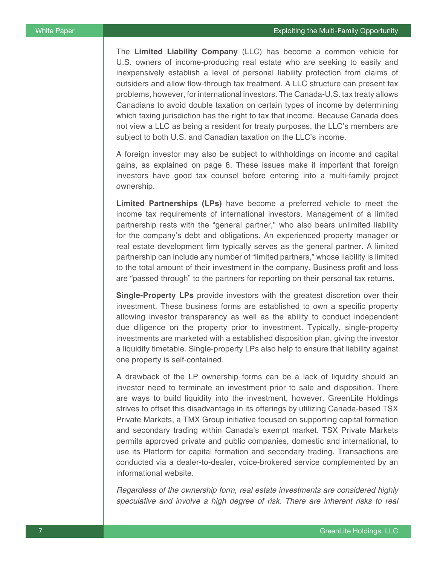The **Limited Liability Company** (LLC) has become a common vehicle for U.S. owners of income-producing real estate who are seeking to easily and inexpensively establish a level of personal liability protection from claims of outsiders and allow flow-through tax treatment. A LLC structure can present tax problems, however, for international investors. The Canada-U.S. tax treaty allows Canadians to avoid double taxation on certain types of income by determining which taxing jurisdiction has the right to tax that income. Because Canada does not view a LLC as being a resident for treaty purposes, the LLC's members are subject to both U.S. and Canadian taxation on the LLC's income.

A foreign investor may also be subject to withholdings on income and capital gains, as explained on page 8. These issues make it important that foreign investors have good tax counsel before entering into a multi-family project ownership.

**Limited Partnerships (LPs)** have become a preferred vehicle to meet the income tax requirements of international investors. Management of a limited partnership rests with the "general partner," who also bears unlimited liability for the company's debt and obligations. An experienced property manager or real estate development firm typically serves as the general partner. A limited partnership can include any number of "limited partners," whose liability is limited to the total amount of their investment in the company. Business profit and loss are "passed through" to the partners for reporting on their personal tax returns.

**Single-Property LPs** provide investors with the greatest discretion over their investment. These business forms are established to own a specific property allowing investor transparency as well as the ability to conduct independent due diligence on the property prior to investment. Typically, single-property investments are marketed with a established disposition plan, giving the investor a liquidity timetable. Single-property LPs also help to ensure that liability against one property is self-contained.

A drawback of the LP ownership forms can be a lack of liquidity should an investor need to terminate an investment prior to sale and disposition. There are ways to build liquidity into the investment, however. GreenLite Holdings strives to offset this disadvantage in its offerings by utilizing Canada-based TSX Private Markets, a TMX Group initiative focused on supporting capital formation and secondary trading within Canada's exempt market. TSX Private Markets permits approved private and public companies, domestic and international, to use its Platform for capital formation and secondary trading. Transactions are conducted via a dealer-to-dealer, voice-brokered service complemented by an informational website.

Regardless of the ownership form, real estate investments are considered highly speculative and involve a high degree of risk. There are inherent risks to real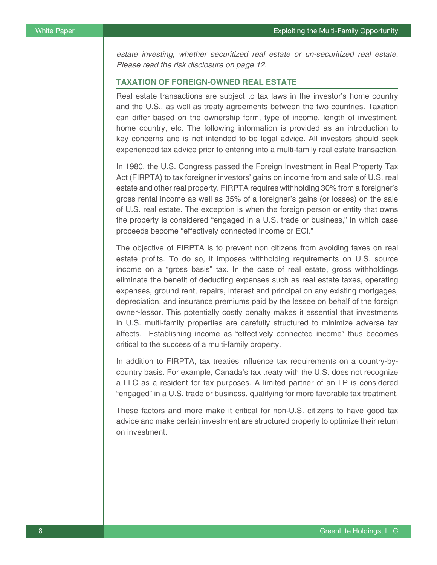estate investing, whether securitized real estate or un-securitized real estate. Please read the risk disclosure on page 12.

## **TAXATION OF FOREIGN-OWNED REAL ESTATE**

Real estate transactions are subject to tax laws in the investor's home country and the U.S., as well as treaty agreements between the two countries. Taxation can differ based on the ownership form, type of income, length of investment, home country, etc. The following information is provided as an introduction to key concerns and is not intended to be legal advice. All investors should seek experienced tax advice prior to entering into a multi-family real estate transaction.

In 1980, the U.S. Congress passed the Foreign Investment in Real Property Tax Act (FIRPTA) to tax foreigner investors' gains on income from and sale of U.S. real estate and other real property. FIRPTA requires withholding 30% from a foreigner's gross rental income as well as 35% of a foreigner's gains (or losses) on the sale of U.S. real estate. The exception is when the foreign person or entity that owns the property is considered "engaged in a U.S. trade or business," in which case proceeds become "effectively connected income or ECI."

The objective of FIRPTA is to prevent non citizens from avoiding taxes on real estate profits. To do so, it imposes withholding requirements on U.S. source income on a "gross basis" tax. In the case of real estate, gross withholdings eliminate the benefit of deducting expenses such as real estate taxes, operating expenses, ground rent, repairs, interest and principal on any existing mortgages, depreciation, and insurance premiums paid by the lessee on behalf of the foreign owner-lessor. This potentially costly penalty makes it essential that investments in U.S. multi-family properties are carefully structured to minimize adverse tax affects. Establishing income as "effectively connected income" thus becomes critical to the success of a multi-family property.

In addition to FIRPTA, tax treaties influence tax requirements on a country-bycountry basis. For example, Canada's tax treaty with the U.S. does not recognize a LLC as a resident for tax purposes. A limited partner of an LP is considered "engaged" in a U.S. trade or business, qualifying for more favorable tax treatment.

These factors and more make it critical for non-U.S. citizens to have good tax advice and make certain investment are structured properly to optimize their return on investment.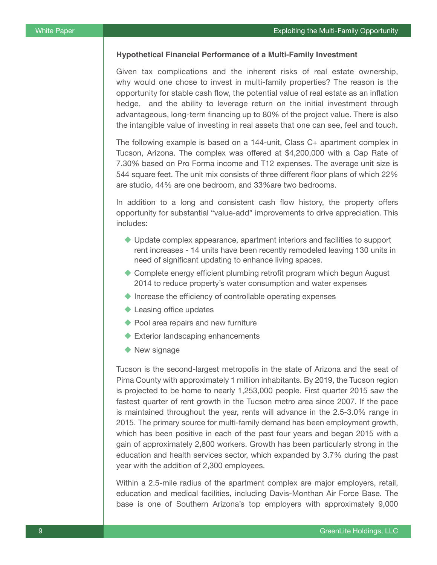## **Hypothetical Financial Performance of a Multi-Family Investment**

Given tax complications and the inherent risks of real estate ownership, why would one chose to invest in multi-family properties? The reason is the opportunity for stable cash flow, the potential value of real estate as an inflation hedge, and the ability to leverage return on the initial investment through advantageous, long-term financing up to 80% of the project value. There is also the intangible value of investing in real assets that one can see, feel and touch.

The following example is based on a 144-unit, Class C+ apartment complex in Tucson, Arizona. The complex was offered at \$4,200,000 with a Cap Rate of 7.30% based on Pro Forma income and T12 expenses. The average unit size is 544 square feet. The unit mix consists of three different floor plans of which 22% are studio, 44% are one bedroom, and 33%are two bedrooms.

In addition to a long and consistent cash flow history, the property offers opportunity for substantial "value-add" improvements to drive appreciation. This includes:

- $\blacklozenge$  Update complex appearance, apartment interiors and facilities to support rent increases - 14 units have been recently remodeled leaving 130 units in need of significant updating to enhance living spaces.
- ◆ Complete energy efficient plumbing retrofit program which begun August 2014 to reduce property's water consumption and water expenses
- $\blacklozenge$  Increase the efficiency of controllable operating expenses
- $\blacklozenge$  Leasing office updates
- $\blacktriangleright$  Pool area repairs and new furniture
- $\blacklozenge$  Exterior landscaping enhancements
- $\blacklozenge$  New signage

Tucson is the second-largest metropolis in the state of Arizona and the seat of Pima County with approximately 1 million inhabitants. By 2019, the Tucson region is projected to be home to nearly 1,253,000 people. First quarter 2015 saw the fastest quarter of rent growth in the Tucson metro area since 2007. If the pace is maintained throughout the year, rents will advance in the 2.5-3.0% range in 2015. The primary source for multi-family demand has been employment growth, which has been positive in each of the past four years and began 2015 with a gain of approximately 2,800 workers. Growth has been particularly strong in the education and health services sector, which expanded by 3.7% during the past year with the addition of 2,300 employees.

Within a 2.5-mile radius of the apartment complex are major employers, retail, education and medical facilities, including Davis-Monthan Air Force Base. The base is one of Southern Arizona's top employers with approximately 9,000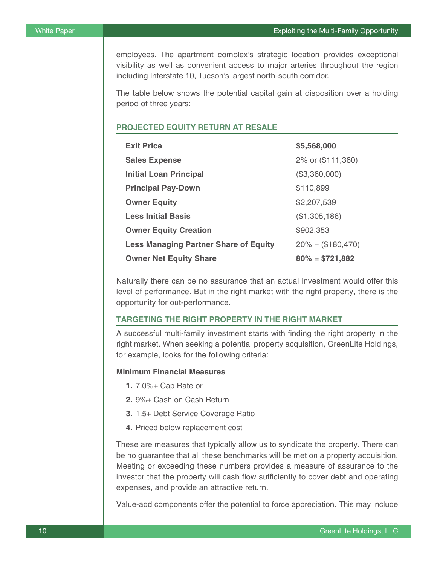employees. The apartment complex's strategic location provides exceptional visibility as well as convenient access to major arteries throughout the region including Interstate 10, Tucson's largest north-south corridor.

The table below shows the potential capital gain at disposition over a holding period of three years:

# **PROJECTED EQUITY RETURN AT RESALE**

| <b>Exit Price</b>                            | \$5,568,000          |
|----------------------------------------------|----------------------|
| <b>Sales Expense</b>                         | 2% or (\$111,360)    |
| <b>Initial Loan Principal</b>                | (\$3,360,000)        |
| <b>Principal Pay-Down</b>                    | \$110,899            |
| <b>Owner Equity</b>                          | \$2,207,539          |
| <b>Less Initial Basis</b>                    | (\$1,305,186)        |
| <b>Owner Equity Creation</b>                 | \$902,353            |
| <b>Less Managing Partner Share of Equity</b> | $20\% = (\$180,470)$ |
| <b>Owner Net Equity Share</b>                | $80\% = $721,882$    |

Naturally there can be no assurance that an actual investment would offer this level of performance. But in the right market with the right property, there is the opportunity for out-performance.

# **TARGETING THE RIGHT PROPERTY IN THE RIGHT MARKET**

A successful multi-family investment starts with finding the right property in the right market. When seeking a potential property acquisition, GreenLite Holdings, for example, looks for the following criteria:

#### **Minimum Financial Measures**

- **1.** 7.0%+ Cap Rate or
- **2.** 9%+ Cash on Cash Return
- **3.** 1.5+ Debt Service Coverage Ratio
- **4.** Priced below replacement cost

These are measures that typically allow us to syndicate the property. There can be no guarantee that all these benchmarks will be met on a property acquisition. Meeting or exceeding these numbers provides a measure of assurance to the investor that the property will cash flow sufficiently to cover debt and operating expenses, and provide an attractive return.

Value-add components offer the potential to force appreciation. This may include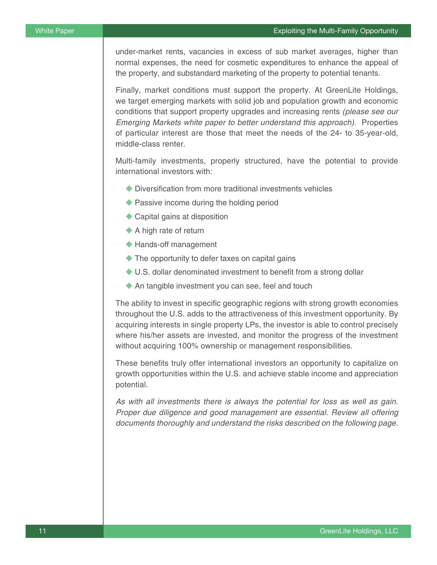under-market rents, vacancies in excess of sub market averages, higher than normal expenses, the need for cosmetic expenditures to enhance the appeal of the property, and substandard marketing of the property to potential tenants.

Finally, market conditions must support the property. At GreenLite Holdings, we target emerging markets with solid job and population growth and economic conditions that support property upgrades and increasing rents *(please see our*  Emerging Markets white paper to better understand this approach). Properties of particular interest are those that meet the needs of the 24- to 35-year-old, middle-class renter.

Multi-family investments, properly structured, have the potential to provide international investors with:

- $\blacklozenge$  Diversification from more traditional investments vehicles
- $\blacklozenge$  Passive income during the holding period
- $\triangle$  Capital gains at disposition
- $\blacklozenge$  A high rate of return
- $\blacklozenge$  Hands-off management
- $\blacklozenge$  The opportunity to defer taxes on capital gains
- $\blacklozenge$  U.S. dollar denominated investment to benefit from a strong dollar
- $\blacklozenge$  An tangible investment you can see, feel and touch

The ability to invest in specific geographic regions with strong growth economies throughout the U.S. adds to the attractiveness of this investment opportunity. By acquiring interests in single property LPs, the investor is able to control precisely where his/her assets are invested, and monitor the progress of the investment without acquiring 100% ownership or management responsibilities.

These benefits truly offer international investors an opportunity to capitalize on growth opportunities within the U.S. and achieve stable income and appreciation potential.

*As with all investments there is always the potential for loss as well as gain.*  Proper due diligence and good management are essential. Review all offering documents thoroughly and understand the risks described on the following page.